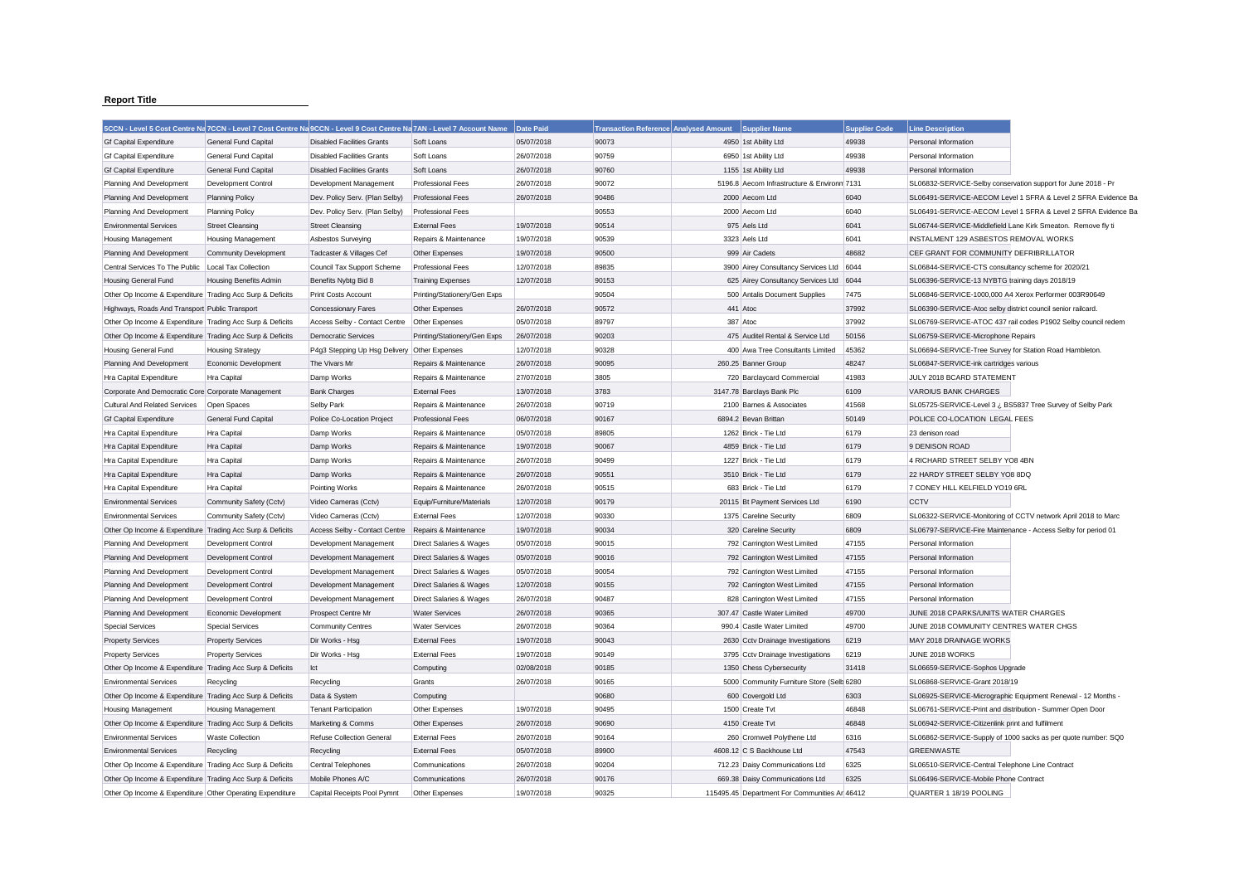## **Report Title**

|                                                           | 5CCN - Level 5 Cost Centre Na 7CCN - Level 7 Cost Centre Na 9CCN - Level 9 Cost Centre Na 7AN - Level 7 Account Name |                                   |                              | Date Paid  | <b>Transaction Reference Analysed Amount</b> | <b>Supplier Name</b>                          | <b>Supplier Code</b> | <b>Line Description</b>                                      |                                                               |
|-----------------------------------------------------------|----------------------------------------------------------------------------------------------------------------------|-----------------------------------|------------------------------|------------|----------------------------------------------|-----------------------------------------------|----------------------|--------------------------------------------------------------|---------------------------------------------------------------|
| <b>Gf Capital Expenditure</b>                             | General Fund Capital                                                                                                 | <b>Disabled Facilities Grants</b> | Soft Loans                   | 05/07/2018 | 90073                                        | 4950 1st Ability Ltd                          | 49938                | Personal Information                                         |                                                               |
| <b>Gf Capital Expenditure</b>                             | General Fund Capital                                                                                                 | <b>Disabled Facilities Grants</b> | Soft Loans                   | 26/07/2018 | 90759                                        | 6950 1st Ability Ltd                          | 49938                | Personal Information                                         |                                                               |
| <b>Gf Capital Expenditure</b>                             | General Fund Capital                                                                                                 | <b>Disabled Facilities Grants</b> | Soft Loans                   | 26/07/2018 | 90760                                        | 1155 1st Ability Ltd                          | 49938                | Personal Information                                         |                                                               |
| Planning And Development                                  | Development Control                                                                                                  | Development Management            | <b>Professional Fees</b>     | 26/07/2018 | 90072                                        | 5196.8 Aecom Infrastructure & Environm 7131   |                      |                                                              | SL06832-SERVICE-Selby conservation support for June 2018 - Pr |
| Planning And Development                                  | <b>Planning Policy</b>                                                                                               | Dev. Policy Serv. (Plan Selby)    | <b>Professional Fees</b>     | 26/07/2018 | 90486                                        | 2000 Aecom Ltd                                | 6040                 |                                                              | SL06491-SERVICE-AECOM Level 1 SFRA & Level 2 SFRA Evidence Ba |
| Planning And Development                                  | <b>Planning Policy</b>                                                                                               | Dev. Policy Serv. (Plan Selby)    | <b>Professional Fees</b>     |            | 90553                                        | 2000 Aecom Ltd                                | 6040                 |                                                              | SL06491-SERVICE-AECOM Level 1 SFRA & Level 2 SFRA Evidence Ba |
| <b>Environmental Services</b>                             | <b>Street Cleansing</b>                                                                                              | <b>Street Cleansing</b>           | <b>External Fees</b>         | 19/07/2018 | 90514                                        | 975 Aels Ltd                                  | 6041                 |                                                              | SL06744-SERVICE-Middlefield Lane Kirk Smeaton. Remove fly ti  |
| Housing Management                                        | <b>Housing Management</b>                                                                                            | Asbestos Surveying                | Repairs & Maintenance        | 19/07/2018 | 90539                                        | 3323 Aels Ltd                                 | 6041                 | INSTALMENT 129 ASBESTOS REMOVAL WORKS                        |                                                               |
| Planning And Development                                  | Community Development                                                                                                | Tadcaster & Villages Cef          | Other Expenses               | 19/07/2018 | 90500                                        | 999 Air Cadets                                | 48682                | CEF GRANT FOR COMMUNITY DEFRIBRILLATOR                       |                                                               |
| Central Services To The Public                            | Local Tax Collection                                                                                                 | Council Tax Support Scheme        | Professional Fees            | 12/07/2018 | 89835                                        | 3900 Airey Consultancy Services Ltd           | 6044                 | SL06844-SERVICE-CTS consultancy scheme for 2020/21           |                                                               |
| Housing General Fund                                      | Housing Benefits Admin                                                                                               | Benefits Nybtg Bid 8              | <b>Training Expenses</b>     | 12/07/2018 | 90153                                        | 625 Airey Consultancy Services Ltd            | 6044                 | SL06396-SERVICE-13 NYBTG training days 2018/19               |                                                               |
| Other Op Income & Expenditure Trading Acc Surp & Deficits |                                                                                                                      | Print Costs Account               | Printing/Stationery/Gen Exps |            | 90504                                        | 500 Antalis Document Supplies                 | 7475                 | SL06846-SERVICE-1000,000 A4 Xerox Performer 003R90649        |                                                               |
| Highways, Roads And Transport Public Transport            |                                                                                                                      | <b>Concessionary Fares</b>        | Other Expenses               | 26/07/2018 | 90572                                        | 441 Atoc                                      | 37992                | SL06390-SERVICE-Atoc selby district council senior railcard. |                                                               |
| Other Op Income & Expenditure Trading Acc Surp & Deficits |                                                                                                                      | Access Selby - Contact Centre     | Other Expenses               | 05/07/2018 | 89797                                        | 387 Atoc                                      | 37992                |                                                              | SL06769-SERVICE-ATOC 437 rail codes P1902 Selby council redem |
| Other Op Income & Expenditure Trading Acc Surp & Deficits |                                                                                                                      | <b>Democratic Services</b>        | Printing/Stationery/Gen Exps | 26/07/2018 | 90203                                        | 475 Auditel Rental & Service Ltd              | 50156                | SL06759-SERVICE-Microphone Repairs                           |                                                               |
| <b>Housing General Fund</b>                               | <b>Housing Strategy</b>                                                                                              | P4g3 Stepping Up Hsg Delivery     | Other Expenses               | 12/07/2018 | 90328                                        | 400 Awa Tree Consultants Limited              | 45362                | SL06694-SERVICE-Tree Survey for Station Road Hambleton.      |                                                               |
| Planning And Development                                  | Economic Development                                                                                                 | The Vivars Mr                     | Repairs & Maintenance        | 26/07/2018 | 90095                                        | 260.25 Banner Group                           | 48247                | SL06847-SERVICE-ink cartridges various                       |                                                               |
| Hra Capital Expenditure                                   | Hra Capital                                                                                                          | Damp Works                        | Repairs & Maintenance        | 27/07/2018 | 3805                                         | 720 Barclaycard Commercial                    | 41983                | JULY 2018 BCARD STATEMENT                                    |                                                               |
| Corporate And Democratic Core Corporate Management        |                                                                                                                      | <b>Bank Charges</b>               | <b>External Fees</b>         | 13/07/2018 | 3783                                         | 3147.78 Barclays Bank Plc                     | 6109                 | <b>VAROIUS BANK CHARGES</b>                                  |                                                               |
| Cultural And Related Services                             | Open Spaces                                                                                                          | Selby Park                        | Repairs & Maintenance        | 26/07/2018 | 90719                                        | 2100 Barnes & Associates                      | 41568                |                                                              | SL05725-SERVICE-Level 3 ¿ BS5837 Tree Survey of Selby Park    |
| <b>Gf Capital Expenditure</b>                             | General Fund Capital                                                                                                 | Police Co-Location Project        | <b>Professional Fees</b>     | 06/07/2018 | 90167                                        | 6894.2 Bevan Brittan                          | 50149                | POLICE CO-LOCATION LEGAL FEES                                |                                                               |
| Hra Capital Expenditure                                   | Hra Capital                                                                                                          | Damp Works                        | Repairs & Maintenance        | 05/07/2018 | 89805                                        | 1262 Brick - Tie Ltd                          | 6179                 | 23 denison road                                              |                                                               |
| Hra Capital Expenditure                                   | <b>Hra Capital</b>                                                                                                   | Damp Works                        | Repairs & Maintenance        | 19/07/2018 | 90067                                        | 4859 Brick - Tie Ltd                          | 6179                 | 9 DENISON ROAD                                               |                                                               |
| Hra Capital Expenditure                                   | Hra Capital                                                                                                          | Damp Works                        | Repairs & Maintenance        | 26/07/2018 | 90499                                        | 1227 Brick - Tie Ltd                          | 6179                 | 4 RICHARD STREET SELBY YO8 4BN                               |                                                               |
| Hra Capital Expenditure                                   | Hra Capital                                                                                                          | Damp Works                        | Repairs & Maintenance        | 26/07/2018 | 90551                                        | 3510 Brick - Tie Ltd                          | 6179                 | 22 HARDY STREET SELBY YO8 8DQ                                |                                                               |
| Hra Capital Expenditure                                   | Hra Capital                                                                                                          | Pointing Works                    | Repairs & Maintenance        | 26/07/2018 | 90515                                        | 683 Brick - Tie Ltd                           | 6179                 | 7 CONEY HILL KELFIELD YO19 6RL                               |                                                               |
| <b>Environmental Services</b>                             | Community Safety (Cctv)                                                                                              | Video Cameras (Cctv)              | Equip/Furniture/Materials    | 12/07/2018 | 90179                                        | 20115 Bt Payment Services Ltd                 | 6190                 | <b>CCTV</b>                                                  |                                                               |
| <b>Environmental Services</b>                             | Community Safety (Cctv)                                                                                              | Video Cameras (Cctv)              | <b>External Fees</b>         | 12/07/2018 | 90330                                        | 1375 Careline Security                        | 6809                 |                                                              | SL06322-SERVICE-Monitoring of CCTV network April 2018 to Marc |
| Other Op Income & Expenditure Trading Acc Surp & Deficits |                                                                                                                      | Access Selby - Contact Centre     | Repairs & Maintenance        | 19/07/2018 | 90034                                        | 320 Careline Security                         | 6809                 |                                                              | SL06797-SERVICE-Fire Maintenance - Access Selby for period 01 |
| Planning And Development                                  | Development Control                                                                                                  | Development Management            | Direct Salaries & Wages      | 05/07/2018 | 90015                                        | 792 Carrington West Limited                   | 47155                | Personal Information                                         |                                                               |
| Planning And Development                                  | <b>Development Control</b>                                                                                           | Development Management            | Direct Salaries & Wages      | 05/07/2018 | 90016                                        | 792 Carrington West Limited                   | 47155                | Personal Information                                         |                                                               |
| Planning And Development                                  | Development Control                                                                                                  | Development Management            | Direct Salaries & Wages      | 05/07/2018 | 90054                                        | 792 Carrington West Limited                   | 47155                | Personal Information                                         |                                                               |
| Planning And Development                                  | <b>Development Control</b>                                                                                           | Development Management            | Direct Salaries & Wages      | 12/07/2018 | 90155                                        | 792 Carrington West Limited                   | 47155                | Personal Information                                         |                                                               |
| Planning And Development                                  | Development Control                                                                                                  | Development Management            | Direct Salaries & Wages      | 26/07/2018 | 90487                                        | 828 Carrington West Limited                   | 47155                | Personal Information                                         |                                                               |
| Planning And Development                                  | Economic Development                                                                                                 | Prospect Centre Mr                | <b>Water Services</b>        | 26/07/2018 | 90365                                        | 307.47 Castle Water Limited                   | 49700                | JUNE 2018 CPARKS/UNITS WATER CHARGES                         |                                                               |
| <b>Special Services</b>                                   | Special Services                                                                                                     | <b>Community Centres</b>          | <b>Water Services</b>        | 26/07/2018 | 90364                                        | 990.4 Castle Water Limited                    | 49700                | JUNE 2018 COMMUNITY CENTRES WATER CHGS                       |                                                               |
| <b>Property Services</b>                                  | <b>Property Services</b>                                                                                             | Dir Works - Hsg                   | <b>External Fees</b>         | 19/07/2018 | 90043                                        | 2630 Cctv Drainage Investigations             | 6219                 | MAY 2018 DRAINAGE WORKS                                      |                                                               |
| <b>Property Services</b>                                  | <b>Property Services</b>                                                                                             | Dir Works - Hsg                   | <b>External Fees</b>         | 19/07/2018 | 90149                                        | 3795 Cctv Drainage Investigations             | 6219                 | JUNE 2018 WORKS                                              |                                                               |
| Other Op Income & Expenditure Trading Acc Surp & Deficits |                                                                                                                      | Ict                               | Computing                    | 02/08/2018 | 90185                                        | 1350 Chess Cybersecurity                      | 31418                | SL06659-SERVICE-Sophos Upgrade                               |                                                               |
| <b>Environmental Services</b>                             | Recycling                                                                                                            | Recycling                         | Grants                       | 26/07/2018 | 90165                                        | 5000 Community Furniture Store (Selb 6280     |                      | SL06868-SERVICE-Grant 2018/19                                |                                                               |
| Other Op Income & Expenditure Trading Acc Surp & Deficits |                                                                                                                      | Data & System                     | Computing                    |            | 90680                                        | 600 Covergold Ltd                             | 6303                 |                                                              | SL06925-SERVICE-Micrographic Equipment Renewal - 12 Months -  |
| <b>Housing Management</b>                                 | Housing Management                                                                                                   | <b>Tenant Participation</b>       | Other Expenses               | 19/07/2018 | 90495                                        | 1500 Create Tvt                               | 46848                | SL06761-SERVICE-Print and distribution - Summer Open Door    |                                                               |
| Other Op Income & Expenditure Trading Acc Surp & Deficits |                                                                                                                      | Marketing & Comms                 | Other Expenses               | 26/07/2018 | 90690                                        | 4150 Create Tvt                               | 46848                | SL06942-SERVICE-Citizenlink print and fulfilment             |                                                               |
| <b>Environmental Services</b>                             | <b>Waste Collection</b>                                                                                              | <b>Refuse Collection General</b>  | <b>External Fees</b>         | 26/07/2018 | 90164                                        | 260 Cromwell Polythene Ltd                    | 6316                 |                                                              | SL06862-SERVICE-Supply of 1000 sacks as per quote number: SQ0 |
| <b>Environmental Services</b>                             | Recycling                                                                                                            | Recycling                         | <b>External Fees</b>         | 05/07/2018 | 89900                                        | 4608.12 C S Backhouse Ltd                     | 47543                | <b>GREENWASTE</b>                                            |                                                               |
| Other Op Income & Expenditure Trading Acc Surp & Deficits |                                                                                                                      | Central Telephones                | Communications               | 26/07/2018 | 90204                                        | 712.23 Daisy Communications Ltd               | 6325                 | SL06510-SERVICE-Central Telephone Line Contract              |                                                               |
| Other Op Income & Expenditure Trading Acc Surp & Deficits |                                                                                                                      | Mobile Phones A/C                 | Communications               | 26/07/2018 | 90176                                        | 669.38 Daisy Communications Ltd               | 6325                 | SL06496-SERVICE-Mobile Phone Contract                        |                                                               |
| Other Op Income & Expenditure Other Operating Expenditure |                                                                                                                      | Capital Receipts Pool Pymnt       | Other Expenses               | 19/07/2018 | 90325                                        | 115495.45 Department For Communities Ar 46412 |                      | QUARTER 1 18/19 POOLING                                      |                                                               |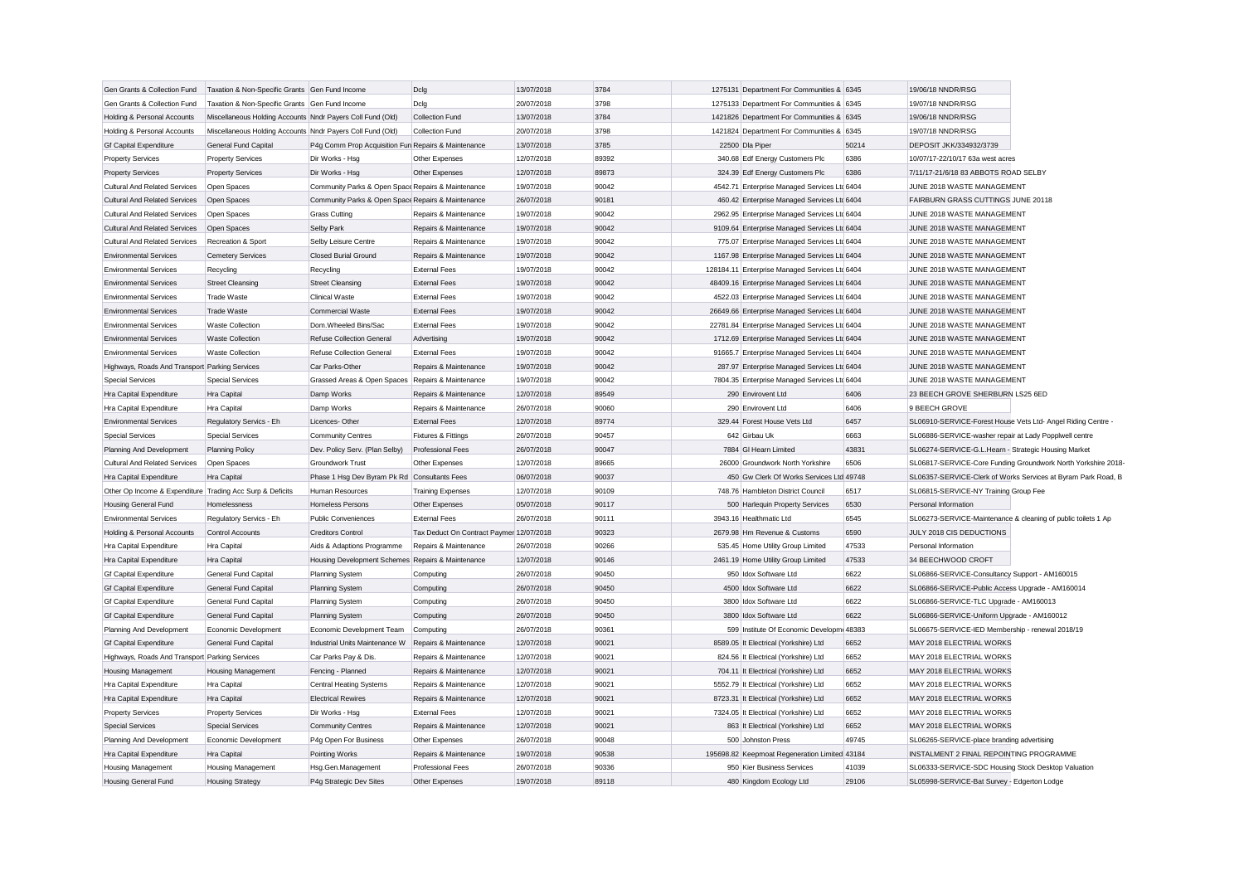| Gen Grants & Collection Fund                              | Taxation & Non-Specific Grants Gen Fund Income             |                                                     | Dclg                                     | 13/07/2018 | 3784  | 1275131 Department For Communities & 6345      |       | 19/06/18 NNDR/RSG                                             |                                                               |
|-----------------------------------------------------------|------------------------------------------------------------|-----------------------------------------------------|------------------------------------------|------------|-------|------------------------------------------------|-------|---------------------------------------------------------------|---------------------------------------------------------------|
| Gen Grants & Collection Fund                              | Taxation & Non-Specific Grants Gen Fund Income             |                                                     | Dclg                                     | 20/07/2018 | 3798  | 1275133 Department For Communities & 6345      |       | 19/07/18 NNDR/RSG                                             |                                                               |
| Holding & Personal Accounts                               | Miscellaneous Holding Accounts Nndr Payers Coll Fund (Old) |                                                     | Collection Fund                          | 13/07/2018 | 3784  | 1421826 Department For Communities & 6345      |       | 19/06/18 NNDR/RSG                                             |                                                               |
| Holding & Personal Accounts                               | Miscellaneous Holding Accounts Nndr Payers Coll Fund (Old) |                                                     | Collection Fund                          | 20/07/2018 | 3798  | 1421824 Department For Communities & 6345      |       | 19/07/18 NNDR/RSG                                             |                                                               |
| <b>Gf Capital Expenditure</b>                             | <b>General Fund Capital</b>                                | P4g Comm Prop Acquisition Fun Repairs & Maintenance |                                          | 13/07/2018 | 3785  | 22500 Dla Piper                                | 50214 | DEPOSIT JKK/334932/3739                                       |                                                               |
| <b>Property Services</b>                                  | <b>Property Services</b>                                   | Dir Works - Hsg                                     | Other Expenses                           | 12/07/2018 | 89392 | 340.68 Edf Energy Customers Plc                | 6386  | 10/07/17-22/10/17 63a west acres                              |                                                               |
| <b>Property Services</b>                                  | <b>Property Services</b>                                   | Dir Works - Hsg                                     | Other Expenses                           | 12/07/2018 | 89873 | 324.39 Edf Energy Customers Plc                | 6386  | 7/11/17-21/6/18 83 ABBOTS ROAD SELBY                          |                                                               |
| <b>Cultural And Related Services</b>                      | Open Spaces                                                | Community Parks & Open Space Repairs & Maintenance  |                                          | 19/07/2018 | 90042 | 4542.71 Enterprise Managed Services Ltd 6404   |       | JUNE 2018 WASTE MANAGEMENT                                    |                                                               |
| <b>Cultural And Related Services</b>                      | Open Spaces                                                | Community Parks & Open Space Repairs & Maintenance  |                                          | 26/07/2018 | 90181 | 460.42 Enterprise Managed Services Ltd 6404    |       | FAIRBURN GRASS CUTTINGS JUNE 20118                            |                                                               |
| <b>Cultural And Related Services</b>                      | Open Spaces                                                | <b>Grass Cutting</b>                                | Repairs & Maintenance                    | 19/07/2018 | 90042 | 2962.95 Enterprise Managed Services Ltd 6404   |       | JUNE 2018 WASTE MANAGEMENT                                    |                                                               |
| <b>Cultural And Related Services</b>                      | Open Spaces                                                | Selby Park                                          | Repairs & Maintenance                    | 19/07/2018 | 90042 | 9109.64 Enterprise Managed Services Ltd 6404   |       | JUNE 2018 WASTE MANAGEMENT                                    |                                                               |
| <b>Cultural And Related Services</b>                      | Recreation & Sport                                         | Selby Leisure Centre                                | Repairs & Maintenance                    | 19/07/2018 | 90042 | 775.07 Enterprise Managed Services Ltd 6404    |       | JUNE 2018 WASTE MANAGEMENT                                    |                                                               |
| <b>Environmental Services</b>                             | <b>Cemetery Services</b>                                   | <b>Closed Burial Ground</b>                         | Repairs & Maintenance                    | 19/07/2018 | 90042 | 1167.98 Enterprise Managed Services Ltc 6404   |       | JUNE 2018 WASTE MANAGEMENT                                    |                                                               |
| <b>Environmental Services</b>                             | Recycling                                                  | Recycling                                           | <b>External Fees</b>                     | 19/07/2018 | 90042 | 128184.11 Enterprise Managed Services Ltd 6404 |       | JUNE 2018 WASTE MANAGEMENT                                    |                                                               |
| <b>Environmental Services</b>                             | <b>Street Cleansing</b>                                    | <b>Street Cleansing</b>                             | <b>External Fees</b>                     | 19/07/2018 | 90042 | 48409.16 Enterprise Managed Services Ltc 6404  |       | JUNE 2018 WASTE MANAGEMENT                                    |                                                               |
| <b>Environmental Services</b>                             | <b>Trade Waste</b>                                         | Clinical Waste                                      | <b>External Fees</b>                     | 19/07/2018 | 90042 | 4522.03 Enterprise Managed Services Ltd 6404   |       | JUNE 2018 WASTE MANAGEMENT                                    |                                                               |
| <b>Environmental Services</b>                             | <b>Trade Waste</b>                                         | <b>Commercial Waste</b>                             | <b>External Fees</b>                     | 19/07/2018 | 90042 | 26649.66 Enterprise Managed Services Ltd 6404  |       | JUNE 2018 WASTE MANAGEMENT                                    |                                                               |
| <b>Environmental Services</b>                             | <b>Waste Collection</b>                                    | Dom.Wheeled Bins/Sac                                | <b>External Fees</b>                     | 19/07/2018 | 90042 | 22781.84 Enterprise Managed Services Ltd 6404  |       | JUNE 2018 WASTE MANAGEMENT                                    |                                                               |
| <b>Environmental Services</b>                             | <b>Waste Collection</b>                                    | Refuse Collection General                           | Advertising                              | 19/07/2018 | 90042 | 1712.69 Enterprise Managed Services Ltd 6404   |       | JUNE 2018 WASTE MANAGEMENT                                    |                                                               |
| <b>Environmental Services</b>                             | <b>Waste Collection</b>                                    | Refuse Collection General                           | <b>External Fees</b>                     | 19/07/2018 | 90042 | 91665.7 Enterprise Managed Services Ltd 6404   |       | JUNE 2018 WASTE MANAGEMENT                                    |                                                               |
| Highways, Roads And Transport Parking Services            |                                                            | Car Parks-Other                                     | Repairs & Maintenance                    | 19/07/2018 | 90042 | 287.97 Enterprise Managed Services Ltd 6404    |       | JUNE 2018 WASTE MANAGEMENT                                    |                                                               |
| <b>Special Services</b>                                   | <b>Special Services</b>                                    | Grassed Areas & Open Spaces Repairs & Maintenance   |                                          | 19/07/2018 | 90042 | 7804.35 Enterprise Managed Services Ltd 6404   |       | JUNE 2018 WASTE MANAGEMENT                                    |                                                               |
| Hra Capital Expenditure                                   | Hra Capital                                                | Damp Works                                          | Repairs & Maintenance                    | 12/07/2018 | 89549 | 290 Envirovent Ltd                             | 6406  | 23 BEECH GROVE SHERBURN LS25 6ED                              |                                                               |
| Hra Capital Expenditure                                   | Hra Capital                                                | Damp Works                                          | Repairs & Maintenance                    | 26/07/2018 | 90060 | 290 Envirovent Ltd                             | 6406  | 9 BEECH GROVE                                                 |                                                               |
| <b>Environmental Services</b>                             | Regulatory Servics - Eh                                    | Licences-Other                                      | <b>External Fees</b>                     | 12/07/2018 | 89774 | 329.44 Forest House Vets Ltd                   | 6457  | SL06910-SERVICE-Forest House Vets Ltd- Angel Riding Centre -  |                                                               |
| <b>Special Services</b>                                   | <b>Special Services</b>                                    | <b>Community Centres</b>                            | Fixtures & Fittings                      | 26/07/2018 | 90457 | 642 Girbau Uk                                  | 6663  | SL06886-SERVICE-washer repair at Lady Popplwell centre        |                                                               |
| Planning And Development                                  | <b>Planning Policy</b>                                     | Dev. Policy Serv. (Plan Selby)                      | <b>Professional Fees</b>                 | 26/07/2018 | 90047 | 7884 GI Hearn Limited                          | 43831 | SL06274-SERVICE-G.L.Hearn - Strategic Housing Market          |                                                               |
| <b>Cultural And Related Services</b>                      | Open Spaces                                                | Groundwork Trust                                    | Other Expenses                           | 12/07/2018 | 89665 | 26000 Groundwork North Yorkshire               | 6506  |                                                               | SL06817-SERVICE-Core Funding Groundwork North Yorkshire 2018- |
| Hra Capital Expenditure                                   | Hra Capital                                                | Phase 1 Hsg Dev Byram Pk Rd Consultants Fees        |                                          | 06/07/2018 | 90037 | 450 Gw Clerk Of Works Services Ltd 49748       |       |                                                               | SL06357-SERVICE-Clerk of Works Services at Byram Park Road, B |
| Other Op Income & Expenditure Trading Acc Surp & Deficits |                                                            | Human Resources                                     | <b>Training Expenses</b>                 | 12/07/2018 | 90109 | 748.76 Hambleton District Council              | 6517  | SL06815-SERVICE-NY Training Group Fee                         |                                                               |
| <b>Housing General Fund</b>                               | Homelessness                                               | <b>Homeless Persons</b>                             | Other Expenses                           | 05/07/2018 | 90117 | 500 Harlequin Property Services                | 6530  | Personal Information                                          |                                                               |
| <b>Environmental Services</b>                             | Regulatory Servics - Eh                                    | <b>Public Conveniences</b>                          | <b>External Fees</b>                     | 26/07/2018 | 90111 | 3943.16 Healthmatic Ltd                        | 6545  | SL06273-SERVICE-Maintenance & cleaning of public toilets 1 Ap |                                                               |
| Holding & Personal Accounts                               | Control Accounts                                           | <b>Creditors Control</b>                            | Tax Deduct On Contract Paymer 12/07/2018 |            | 90323 | 2679.98 Hm Revenue & Customs                   | 6590  | JULY 2018 CIS DEDUCTIONS                                      |                                                               |
| Hra Capital Expenditure                                   | Hra Capital                                                | Aids & Adaptions Programme                          | Repairs & Maintenance                    | 26/07/2018 | 90266 | 535.45 Home Utility Group Limited              | 47533 | Personal Information                                          |                                                               |
| Hra Capital Expenditure                                   | <b>Hra Capital</b>                                         | Housing Development Schemes Repairs & Maintenance   |                                          | 12/07/2018 | 90146 | 2461.19 Home Utility Group Limited             | 47533 | 34 BEECHWOOD CROFT                                            |                                                               |
| <b>Gf Capital Expenditure</b>                             | General Fund Capital                                       | Planning System                                     | Computing                                | 26/07/2018 | 90450 | 950 Idox Software Ltd                          | 6622  | SL06866-SERVICE-Consultancy Support - AM160015                |                                                               |
| <b>Gf Capital Expenditure</b>                             | <b>General Fund Capital</b>                                | Planning System                                     | Computing                                | 26/07/2018 | 90450 | 4500 Idox Software Ltd                         | 6622  | SL06866-SERVICE-Public Access Upgrade - AM160014              |                                                               |
| <b>Gf Capital Expenditure</b>                             | General Fund Capital                                       | Planning System                                     | Computing                                | 26/07/2018 | 90450 | 3800 Idox Software Ltd                         | 6622  | SL06866-SERVICE-TLC Upgrade - AM160013                        |                                                               |
| <b>Gf Capital Expenditure</b>                             | General Fund Capital                                       | Planning System                                     | Computing                                | 26/07/2018 | 90450 | 3800 Idox Software Ltd                         | 6622  | SL06866-SERVICE-Uniform Upgrade - AM160012                    |                                                               |
| Planning And Development                                  | Economic Development                                       | Economic Development Team                           | Computing                                | 26/07/2018 | 90361 | 599 Institute Of Economic Developm 48383       |       | SL06675-SERVICE-IED Membership - renewal 2018/19              |                                                               |
| <b>Gf Capital Expenditure</b>                             | General Fund Capital                                       | Industrial Units Maintenance W                      | Repairs & Maintenance                    | 12/07/2018 | 90021 | 8589.05 It Electrical (Yorkshire) Ltd          | 6652  | MAY 2018 ELECTRIAL WORKS                                      |                                                               |
| Highways, Roads And Transport Parking Services            |                                                            | Car Parks Pay & Dis.                                | Repairs & Maintenance                    | 12/07/2018 | 90021 | 824.56 It Electrical (Yorkshire) Ltd           | 6652  | MAY 2018 ELECTRIAL WORKS                                      |                                                               |
| Housing Management                                        | <b>Housing Management</b>                                  | Fencing - Planned                                   | Repairs & Maintenance                    | 12/07/2018 | 90021 | 704.11 It Electrical (Yorkshire) Ltd           | 6652  | MAY 2018 ELECTRIAL WORKS                                      |                                                               |
| Hra Capital Expenditure                                   | Hra Capital                                                | <b>Central Heating Systems</b>                      | Repairs & Maintenance                    | 12/07/2018 | 90021 | 5552.79 It Electrical (Yorkshire) Ltd          | 6652  | MAY 2018 ELECTRIAL WORKS                                      |                                                               |
| Hra Capital Expenditure                                   | Hra Capital                                                | <b>Electrical Rewires</b>                           | Repairs & Maintenance                    | 12/07/2018 | 90021 | 8723.31 It Electrical (Yorkshire) Ltd          | 6652  | MAY 2018 ELECTRIAL WORKS                                      |                                                               |
| <b>Property Services</b>                                  | <b>Property Services</b>                                   | Dir Works - Hsg                                     | <b>External Fees</b>                     | 12/07/2018 | 90021 | 7324.05 It Electrical (Yorkshire) Ltd          | 6652  | MAY 2018 ELECTRIAL WORKS                                      |                                                               |
| <b>Special Services</b>                                   | <b>Special Services</b>                                    | <b>Community Centres</b>                            | Repairs & Maintenance                    | 12/07/2018 | 90021 | 863 It Electrical (Yorkshire) Ltd              | 6652  | MAY 2018 ELECTRIAL WORKS                                      |                                                               |
| Planning And Development                                  | Economic Development                                       | P4g Open For Business                               | Other Expenses                           | 26/07/2018 | 90048 | 500 Johnston Press                             | 49745 | SL06265-SERVICE-place branding advertising                    |                                                               |
| Hra Capital Expenditure                                   | Hra Capital                                                | Pointing Works                                      | Repairs & Maintenance                    | 19/07/2018 | 90538 | 195698.82 Keepmoat Regeneration Limited 43184  |       | INSTALMENT 2 FINAL REPOINTING PROGRAMME                       |                                                               |
| Housing Management                                        | <b>Housing Management</b>                                  | Hsg.Gen.Management                                  | <b>Professional Fees</b>                 | 26/07/2018 | 90336 | 950 Kier Business Services                     | 41039 | SL06333-SERVICE-SDC Housing Stock Desktop Valuation           |                                                               |
| <b>Housing General Fund</b>                               | <b>Housing Strategy</b>                                    | P4q Strategic Dev Sites                             | Other Expenses                           | 19/07/2018 | 89118 | 480 Kingdom Ecology Ltd                        | 29106 | SL05998-SERVICE-Bat Survey - Edgerton Lodge                   |                                                               |
|                                                           |                                                            |                                                     |                                          |            |       |                                                |       |                                                               |                                                               |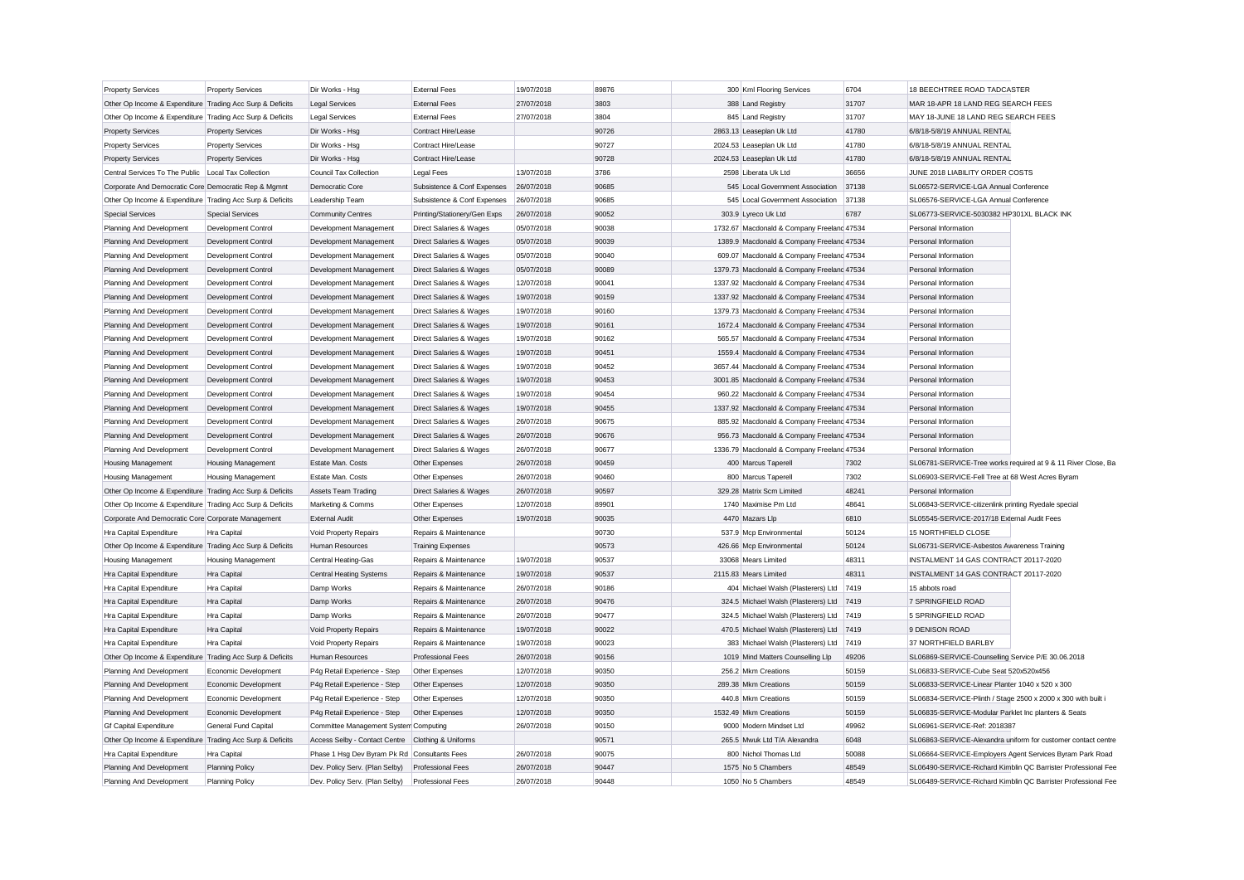| <b>Property Services</b>                                  | <b>Property Services</b>                     | Dir Works - Hsg                                              | <b>External Fees</b>               | 19/07/2018               | 89876 | 300 Kml Flooring Services                  | 6704  | 18 BEECHTREE ROAD TADCASTER                                   |
|-----------------------------------------------------------|----------------------------------------------|--------------------------------------------------------------|------------------------------------|--------------------------|-------|--------------------------------------------|-------|---------------------------------------------------------------|
| Other Op Income & Expenditure Trading Acc Surp & Deficits |                                              | <b>Legal Services</b>                                        | <b>External Fees</b>               | 27/07/2018               | 3803  | 388 Land Registry                          | 31707 | MAR 18-APR 18 LAND REG SEARCH FEES                            |
| Other Op Income & Expenditure Trading Acc Surp & Deficits |                                              | <b>Legal Services</b>                                        | <b>External Fees</b>               | 27/07/2018               | 3804  | 845 Land Registry                          | 31707 | MAY 18-JUNE 18 LAND REG SEARCH FEES                           |
| <b>Property Services</b>                                  | <b>Property Services</b>                     | Dir Works - Hsg                                              | Contract Hire/Lease                |                          | 90726 | 2863.13 Leaseplan Uk Ltd                   | 41780 | 6/8/18-5/8/19 ANNUAL RENTAL                                   |
| <b>Property Services</b>                                  | <b>Property Services</b>                     | Dir Works - Hsg                                              | Contract Hire/Lease                |                          | 90727 | 2024.53 Leaseplan Uk Ltd                   | 41780 | 6/8/18-5/8/19 ANNUAL RENTAL                                   |
| <b>Property Services</b>                                  | <b>Property Services</b>                     | Dir Works - Hsg                                              | Contract Hire/Lease                |                          | 90728 | 2024.53 Leaseplan Uk Ltd                   | 41780 | 6/8/18-5/8/19 ANNUAL RENTAL                                   |
| Central Services To The Public   Local Tax Collection     |                                              | Council Tax Collection                                       | <b>Legal Fees</b>                  | 13/07/2018               | 3786  | 2598 Liberata Uk Ltd                       | 36656 | JUNE 2018 LIABILITY ORDER COSTS                               |
| Corporate And Democratic Core Democratic Rep & Mgmnt      |                                              | Democratic Core                                              | Subsistence & Conf Expenses        | 26/07/2018               | 90685 | 545 Local Government Association           | 37138 | SL06572-SERVICE-LGA Annual Conference                         |
| Other Op Income & Expenditure Trading Acc Surp & Deficits |                                              | Leadership Team                                              | Subsistence & Conf Expenses        | 26/07/2018               | 90685 | 545 Local Government Association           | 37138 | SL06576-SERVICE-LGA Annual Conference                         |
| <b>Special Services</b>                                   | <b>Special Services</b>                      | <b>Community Centres</b>                                     | Printing/Stationery/Gen Exps       | 26/07/2018               | 90052 | 303.9 Lyreco Uk Ltd                        | 6787  | SL06773-SERVICE-5030382 HP301XL BLACK INK                     |
| Planning And Development                                  | Development Control                          | Development Management                                       | Direct Salaries & Wages            | 05/07/2018               | 90038 | 1732.67 Macdonald & Company Freeland 47534 |       | Personal Information                                          |
| Planning And Development                                  | Development Control                          | Development Management                                       | Direct Salaries & Wages            | 05/07/2018               | 90039 | 1389.9 Macdonald & Company Freeland 47534  |       | Personal Information                                          |
| Planning And Development                                  | Development Control                          | Development Management                                       | Direct Salaries & Wages            | 05/07/2018               | 90040 | 609.07 Macdonald & Company Freeland 47534  |       | Personal Information                                          |
| Planning And Development                                  | Development Control                          | Development Management                                       | Direct Salaries & Wages            | 05/07/2018               | 90089 | 1379.73 Macdonald & Company Freelanc 47534 |       | Personal Information                                          |
| Planning And Development                                  | Development Control                          | Development Management                                       | <b>Direct Salaries &amp; Wages</b> | 12/07/2018               | 90041 | 1337.92 Macdonald & Company Freeland 47534 |       | Personal Information                                          |
| Planning And Development                                  | Development Control                          | Development Management                                       | Direct Salaries & Wages            | 19/07/2018               | 90159 | 1337.92 Macdonald & Company Freelanc 47534 |       | Personal Information                                          |
| Planning And Development                                  | Development Control                          | Development Management                                       | Direct Salaries & Wages            | 19/07/2018               | 90160 | 1379.73 Macdonald & Company Freeland 47534 |       | Personal Information                                          |
| Planning And Development                                  | Development Control                          | Development Management                                       | Direct Salaries & Wages            | 19/07/2018               | 90161 | 1672.4 Macdonald & Company Freelanc 47534  |       | Personal Information                                          |
| Planning And Development                                  | Development Control                          | Development Management                                       | Direct Salaries & Wages            | 19/07/2018               | 90162 | 565.57 Macdonald & Company Freeland 47534  |       | Personal Information                                          |
| Planning And Development                                  | Development Control                          | Development Management                                       | Direct Salaries & Wages            | 19/07/2018               | 90451 | 1559.4 Macdonald & Company Freelanc 47534  |       | Personal Information                                          |
| Planning And Development                                  | Development Control                          | Development Management                                       | Direct Salaries & Wages            | 19/07/2018               | 90452 | 3657.44 Macdonald & Company Freeland 47534 |       | Personal Information                                          |
| Planning And Development                                  | Development Control                          | Development Management                                       | Direct Salaries & Wages            | 19/07/2018               | 90453 | 3001.85 Macdonald & Company Freeland 47534 |       | Personal Information                                          |
| Planning And Development                                  | Development Control                          | Development Management                                       | Direct Salaries & Wages            | 19/07/2018               | 90454 | 960.22 Macdonald & Company Freeland 47534  |       | Personal Information                                          |
| Planning And Development                                  | Development Control                          | Development Management                                       | Direct Salaries & Wages            | 19/07/2018               | 90455 | 1337.92 Macdonald & Company Freelanc 47534 |       | Personal Information                                          |
| Planning And Development                                  | Development Control                          | Development Management                                       | Direct Salaries & Wages            | 26/07/2018               | 90675 | 885.92 Macdonald & Company Freeland 47534  |       | Personal Information                                          |
| Planning And Development                                  | Development Control                          | Development Management                                       | Direct Salaries & Wages            | 26/07/2018               | 90676 | 956.73 Macdonald & Company Freelanc 47534  |       | Personal Information                                          |
| Planning And Development                                  | Development Control                          | Development Management                                       | Direct Salaries & Wages            | 26/07/2018               | 90677 | 1336.79 Macdonald & Company Freeland 47534 |       | Personal Information                                          |
| Housing Management                                        | <b>Housing Management</b>                    | Estate Man. Costs                                            | Other Expenses                     | 26/07/2018               | 90459 | 400 Marcus Taperell                        | 7302  | SL06781-SERVICE-Tree works required at 9 & 11 River Close, Ba |
| <b>Housing Management</b>                                 | <b>Housing Management</b>                    | <b>Estate Man, Costs</b>                                     | Other Expenses                     | 26/07/2018               | 90460 | 800 Marcus Taperell                        | 7302  | SL06903-SERVICE-Fell Tree at 68 West Acres Byram              |
| Other Op Income & Expenditure Trading Acc Surp & Deficits |                                              | <b>Assets Team Trading</b>                                   | Direct Salaries & Wages            | 26/07/2018               | 90597 | 329.28 Matrix Scm Limited                  | 48241 | Personal Information                                          |
| Other Op Income & Expenditure Trading Acc Surp & Deficits |                                              | Marketing & Comms                                            | Other Expenses                     | 12/07/2018               | 89901 | 1740 Maximise Pm Ltd                       | 48641 | SL06843-SERVICE-citizenlink printing Ryedale special          |
| Corporate And Democratic Core Corporate Management        |                                              | <b>External Audit</b>                                        | Other Expenses                     | 19/07/2018               | 90035 | 4470 Mazars Llp                            | 6810  | SL05545-SERVICE-2017/18 External Audit Fees                   |
| Hra Capital Expenditure                                   | Hra Capital                                  | Void Property Repairs                                        | Repairs & Maintenance              |                          | 90730 | 537.9 Mcp Environmental                    | 50124 | 15 NORTHFIELD CLOSE                                           |
| Other Op Income & Expenditure Trading Acc Surp & Deficits |                                              | Human Resources                                              | <b>Training Expenses</b>           |                          | 90573 | 426.66 Mcp Environmental                   | 50124 | SL06731-SERVICE-Asbestos Awareness Training                   |
| Housing Management                                        | Housing Management                           | Central Heating-Gas                                          | Repairs & Maintenance              | 19/07/2018               | 90537 | 33068 Mears Limited                        | 48311 | INSTALMENT 14 GAS CONTRACT 20117-2020                         |
| Hra Capital Expenditure                                   | <b>Hra Capital</b>                           | Central Heating Systems                                      | Repairs & Maintenance              | 19/07/2018               | 90537 | 2115.83 Mears Limited                      | 48311 | INSTALMENT 14 GAS CONTRACT 20117-2020                         |
| Hra Capital Expenditure                                   | Hra Capital                                  | Damp Works                                                   | Repairs & Maintenance              | 26/07/2018               | 90186 | 404 Michael Walsh (Plasterers) Ltd         | 7419  | 15 abbots road                                                |
| Hra Capital Expenditure                                   | <b>Hra Capital</b>                           | Damp Works                                                   | Repairs & Maintenance              | 26/07/2018               | 90476 | 324.5 Michael Walsh (Plasterers) Ltd 7419  |       | 7 SPRINGFIELD ROAD                                            |
| Hra Capital Expenditure                                   | Hra Capital                                  | Damp Works                                                   | Repairs & Maintenance              | 26/07/2018               | 90477 | 324.5 Michael Walsh (Plasterers) Ltd       | 7419  | 5 SPRINGFIELD ROAD                                            |
| Hra Capital Expenditure                                   | Hra Capital                                  | Void Property Repairs                                        | Repairs & Maintenance              | 19/07/2018               | 90022 | 470.5 Michael Walsh (Plasterers) Ltd 7419  |       | 9 DENISON ROAD                                                |
| Hra Capital Expenditure                                   | <b>Hra Capital</b>                           | Void Property Repairs                                        | Repairs & Maintenance              | 19/07/2018               | 90023 | 383 Michael Walsh (Plasterers) Ltd         | 7419  | 37 NORTHFIELD BARLBY                                          |
| Other Op Income & Expenditure Trading Acc Surp & Deficits |                                              | Human Resources                                              | <b>Professional Fees</b>           | 26/07/2018               | 90156 | 1019 Mind Matters Counselling Llp          | 49206 | SL06869-SERVICE-Counselling Service P/E 30.06.2018            |
| Planning And Development                                  | Economic Development                         | P4q Retail Experience - Step                                 | Other Expenses                     | 12/07/2018               | 90350 | 256.2 Mkm Creations                        | 50159 | SL06833-SERVICE-Cube Seat 520x520x456                         |
|                                                           |                                              |                                                              |                                    |                          | 90350 | 289.38 Mkm Creations                       | 50159 | SL06833-SERVICE-Linear Planter 1040 x 520 x 300               |
| Planning And Development                                  | Economic Development<br>Economic Development | P4g Retail Experience - Step                                 | Other Expenses                     | 12/07/2018<br>12/07/2018 | 90350 | 440.8 Mkm Creations                        | 50159 | SL06834-SERVICE-Plinth / Stage 2500 x 2000 x 300 with built i |
| Planning And Development                                  | Economic Development                         | P4g Retail Experience - Step<br>P4g Retail Experience - Step | Other Expenses                     | 12/07/2018               | 90350 | 1532.49 Mkm Creations                      | 50159 | SL06835-SERVICE-Modular Parklet Inc planters & Seats          |
| Planning And Development<br><b>Gf Capital Expenditure</b> | General Fund Capital                         | Committee Management System Computing                        | Other Expenses                     | 26/07/2018               | 90150 | 9000 Modern Mindset Ltd                    | 49962 | SL06961-SERVICE-Ref: 2018387                                  |
| Other Op Income & Expenditure Trading Acc Surp & Deficits |                                              | Access Selby - Contact Centre Clothing & Uniforms            |                                    |                          | 90571 | 265.5 Mwuk Ltd T/A Alexandra               | 6048  | SL06863-SERVICE-Alexandra uniform for customer contact centre |
| Hra Capital Expenditure                                   | Hra Capital                                  | Phase 1 Hsg Dev Byram Pk Rd Consultants Fees                 |                                    | 26/07/2018               | 90075 | 800 Nichol Thomas Ltd                      | 50088 | SL06664-SERVICE-Employers Agent Services Byram Park Road      |
|                                                           |                                              |                                                              | <b>Professional Fees</b>           | 26/07/2018               | 90447 | 1575 No 5 Chambers                         | 48549 | SL06490-SERVICE-Richard Kimblin QC Barrister Professional Fee |
| Planning And Development                                  | <b>Planning Policy</b>                       | Dev. Policy Serv. (Plan Selby)                               | <b>Professional Fees</b>           | 26/07/2018               | 90448 |                                            | 48549 | SL06489-SERVICE-Richard Kimblin QC Barrister Professional Fee |
| Planning And Development                                  | <b>Planning Policy</b>                       | Dev. Policy Serv. (Plan Selby)                               |                                    |                          |       | 1050 No 5 Chambers                         |       |                                                               |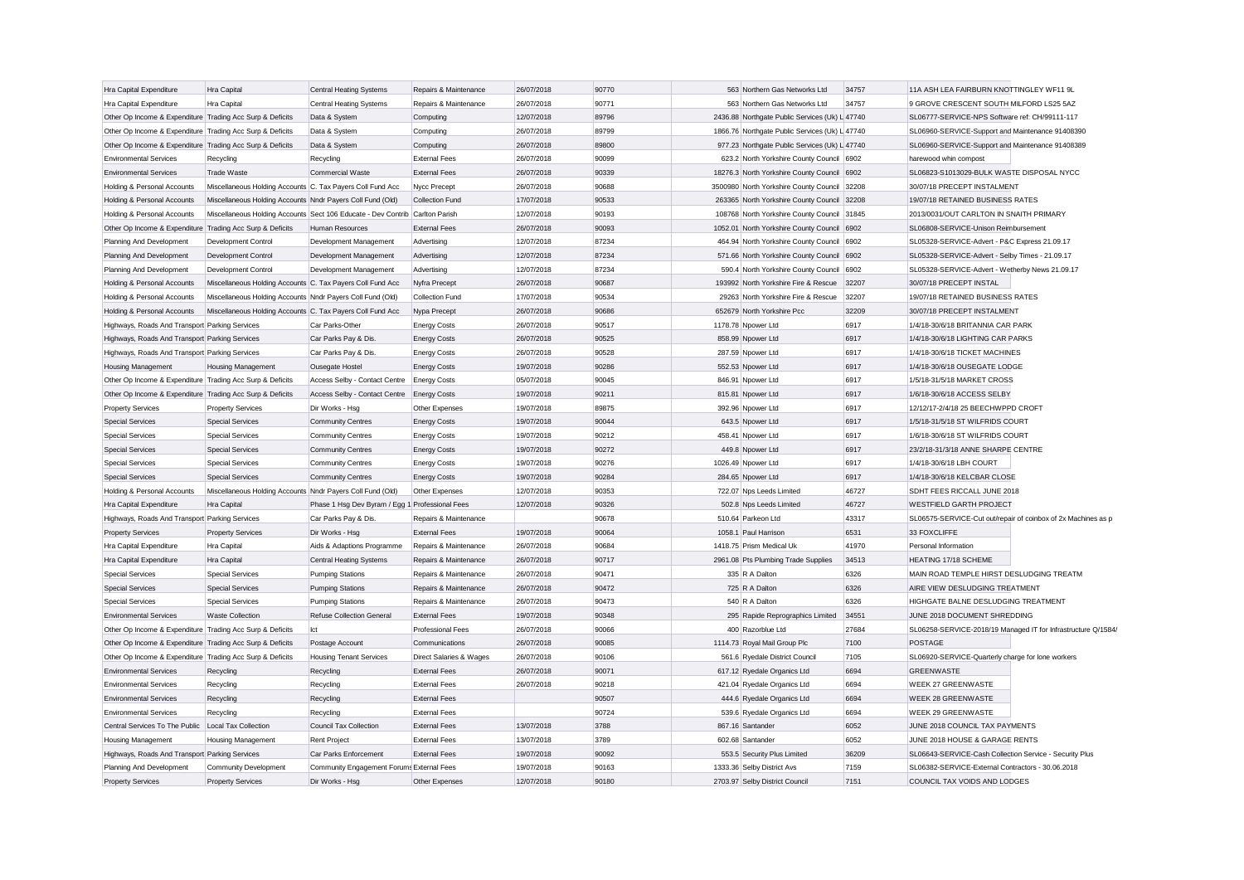| Hra Capital Expenditure                                   | Hra Capital                                                | <b>Central Heating Systems</b>                                               | Repairs & Maintenance    | 26/07/2018 | 90770 | 563 Northern Gas Networks Ltd                  | 34757 | 11A ASH LEA FAIRBURN KNOTTINGLEY WF11 9L                      |  |
|-----------------------------------------------------------|------------------------------------------------------------|------------------------------------------------------------------------------|--------------------------|------------|-------|------------------------------------------------|-------|---------------------------------------------------------------|--|
| Hra Capital Expenditure                                   | Hra Capital                                                | Central Heating Systems                                                      | Repairs & Maintenance    | 26/07/2018 | 90771 | 563 Northern Gas Networks Ltd                  | 34757 | 9 GROVE CRESCENT SOUTH MILFORD LS25 5AZ                       |  |
| Other Op Income & Expenditure Trading Acc Surp & Deficits |                                                            | Data & System                                                                | Computing                | 12/07/2018 | 89796 | 2436.88 Northgate Public Services (Uk) L 47740 |       | SL06777-SERVICE-NPS Software ref: CH/99111-117                |  |
| Other Op Income & Expenditure Trading Acc Surp & Deficits |                                                            | Data & System                                                                | Computing                | 26/07/2018 | 89799 | 1866.76 Northgate Public Services (Uk) L 47740 |       | SL06960-SERVICE-Support and Maintenance 91408390              |  |
| Other Op Income & Expenditure Trading Acc Surp & Deficits |                                                            | Data & System                                                                | Computing                | 26/07/2018 | 89800 | 977.23 Northgate Public Services (Uk) L 47740  |       | SL06960-SERVICE-Support and Maintenance 91408389              |  |
| <b>Environmental Services</b>                             | Recycling                                                  | Recycling                                                                    | <b>External Fees</b>     | 26/07/2018 | 90099 | 623.2 North Yorkshire County Council 6902      |       | harewood whin compost                                         |  |
| <b>Environmental Services</b>                             | <b>Trade Waste</b>                                         | Commercial Waste                                                             | <b>External Fees</b>     | 26/07/2018 | 90339 | 18276.3 North Yorkshire County Council 6902    |       | SL06823-S1013029-BULK WASTE DISPOSAL NYCC                     |  |
| Holding & Personal Accounts                               | Miscellaneous Holding Accounts C. Tax Payers Coll Fund Acc |                                                                              | Nycc Precept             | 26/07/2018 | 90688 | 3500980 North Yorkshire County Council 32208   |       | 30/07/18 PRECEPT INSTALMENT                                   |  |
| Holding & Personal Accounts                               | Miscellaneous Holding Accounts Nndr Payers Coll Fund (Old) |                                                                              | Collection Fund          | 17/07/2018 | 90533 | 263365 North Yorkshire County Council 32208    |       | 19/07/18 RETAINED BUSINESS RATES                              |  |
| Holding & Personal Accounts                               |                                                            | Miscellaneous Holding Accounts Sect 106 Educate - Dev Contrib Carlton Parish |                          | 12/07/2018 | 90193 | 108768 North Yorkshire County Council 31845    |       | 2013/0031/OUT CARLTON IN SNAITH PRIMARY                       |  |
| Other Op Income & Expenditure Trading Acc Surp & Deficits |                                                            | Human Resources                                                              | <b>External Fees</b>     | 26/07/2018 | 90093 | 1052.01 North Yorkshire County Council 6902    |       | SL06808-SERVICE-Unison Reimbursement                          |  |
| Planning And Development                                  | Development Control                                        | Development Management                                                       | Advertising              | 12/07/2018 | 87234 | 464.94 North Yorkshire County Council 6902     |       | SL05328-SERVICE-Advert - P&C Express 21.09.17                 |  |
| Planning And Development                                  | Development Control                                        | Development Management                                                       | Advertising              | 12/07/2018 | 87234 | 571.66 North Yorkshire County Council 6902     |       | SL05328-SERVICE-Advert - Selby Times - 21.09.17               |  |
| Planning And Development                                  | <b>Development Control</b>                                 | Development Management                                                       | Advertising              | 12/07/2018 | 87234 | 590.4 North Yorkshire County Council 6902      |       | SL05328-SERVICE-Advert - Wetherby News 21.09.17               |  |
| Holding & Personal Accounts                               | Miscellaneous Holding Accounts C. Tax Payers Coll Fund Acc |                                                                              | Nyfra Precept            | 26/07/2018 | 90687 | 193992 North Yorkshire Fire & Rescue           | 32207 | 30/07/18 PRECEPT INSTAL                                       |  |
| Holding & Personal Accounts                               | Miscellaneous Holding Accounts Nndr Payers Coll Fund (Old) |                                                                              | Collection Fund          | 17/07/2018 | 90534 | 29263 North Yorkshire Fire & Rescue            | 32207 | 19/07/18 RETAINED BUSINESS RATES                              |  |
| Holding & Personal Accounts                               | Miscellaneous Holding Accounts C. Tax Payers Coll Fund Acc |                                                                              | Nypa Precept             | 26/07/2018 | 90686 | 652679 North Yorkshire Pcc                     | 32209 | 30/07/18 PRECEPT INSTALMENT                                   |  |
| Highways, Roads And Transport Parking Services            |                                                            | Car Parks-Other                                                              | <b>Energy Costs</b>      | 26/07/2018 | 90517 | 1178.78 Npower Ltd                             | 6917  | 1/4/18-30/6/18 BRITANNIA CAR PARK                             |  |
| Highways, Roads And Transport Parking Services            |                                                            | Car Parks Pay & Dis.                                                         | <b>Energy Costs</b>      | 26/07/2018 | 90525 | 858.99 Npower Ltd                              | 6917  | 1/4/18-30/6/18 LIGHTING CAR PARKS                             |  |
| Highways, Roads And Transport Parking Services            |                                                            | Car Parks Pay & Dis                                                          | <b>Energy Costs</b>      | 26/07/2018 | 90528 | 287.59 Npower Ltd                              | 6917  | 1/4/18-30/6/18 TICKET MACHINES                                |  |
| Housing Management                                        | <b>Housing Management</b>                                  | Ousegate Hostel                                                              | <b>Energy Costs</b>      | 19/07/2018 | 90286 | 552.53 Npower Ltd                              | 6917  | 1/4/18-30/6/18 OUSEGATE LODGE                                 |  |
| Other Op Income & Expenditure Trading Acc Surp & Deficits |                                                            | Access Selby - Contact Centre                                                | <b>Energy Costs</b>      | 05/07/2018 | 90045 | 846.91 Npower Ltd                              | 6917  | 1/5/18-31/5/18 MARKET CROSS                                   |  |
| Other Op Income & Expenditure Trading Acc Surp & Deficits |                                                            | Access Selby - Contact Centre Energy Costs                                   |                          | 19/07/2018 | 90211 | 815.81 Npower Ltd                              | 6917  | 1/6/18-30/6/18 ACCESS SELBY                                   |  |
| <b>Property Services</b>                                  | <b>Property Services</b>                                   | Dir Works - Hsg                                                              | Other Expenses           | 19/07/2018 | 89875 | 392.96 Npower Ltd                              | 6917  | 12/12/17-2/4/18 25 BEECHWPPD CROFT                            |  |
| <b>Special Services</b>                                   | <b>Special Services</b>                                    | <b>Community Centres</b>                                                     | <b>Energy Costs</b>      | 19/07/2018 | 90044 | 643.5 Npower Ltd                               | 6917  | 1/5/18-31/5/18 ST WILFRIDS COURT                              |  |
| <b>Special Services</b>                                   | <b>Special Services</b>                                    | Community Centres                                                            | <b>Energy Costs</b>      | 19/07/2018 | 90212 | 458.41 Npower Ltd                              | 6917  | 1/6/18-30/6/18 ST WILFRIDS COURT                              |  |
| <b>Special Services</b>                                   | <b>Special Services</b>                                    | <b>Community Centres</b>                                                     | <b>Energy Costs</b>      | 19/07/2018 | 90272 | 449.8 Npower Ltd                               | 6917  | 23/2/18-31/3/18 ANNE SHARPE CENTRE                            |  |
| <b>Special Services</b>                                   | <b>Special Services</b>                                    | Community Centres                                                            | <b>Energy Costs</b>      | 19/07/2018 | 90276 | 1026.49 Npower Ltd                             | 6917  | 1/4/18-30/6/18 LBH COURT                                      |  |
| <b>Special Services</b>                                   | <b>Special Services</b>                                    | <b>Community Centres</b>                                                     | <b>Energy Costs</b>      | 19/07/2018 | 90284 | 284.65 Npower Ltd                              | 6917  | 1/4/18-30/6/18 KELCBAR CLOSE                                  |  |
| Holding & Personal Accounts                               | Miscellaneous Holding Accounts Nndr Payers Coll Fund (Old) |                                                                              | Other Expenses           | 12/07/2018 | 90353 | 722.07 Nps Leeds Limited                       | 46727 | SDHT FEES RICCALL JUNE 2018                                   |  |
| Hra Capital Expenditure                                   | Hra Capital                                                | Phase 1 Hsg Dev Byram / Egg 1 Professional Fees                              |                          | 12/07/2018 | 90326 | 502.8 Nps Leeds Limited                        | 46727 | <b>WESTFIELD GARTH PROJECT</b>                                |  |
| Highways, Roads And Transport Parking Services            |                                                            | Car Parks Pay & Dis.                                                         | Repairs & Maintenance    |            | 90678 | 510.64 Parkeon Ltd                             | 43317 | SL06575-SERVICE-Cut out/repair of coinbox of 2x Machines as p |  |
| <b>Property Services</b>                                  | <b>Property Services</b>                                   | Dir Works - Hsg                                                              | <b>External Fees</b>     | 19/07/2018 | 90064 | 1058.1 Paul Harrison                           | 6531  | 33 FOXCLIFFE                                                  |  |
| Hra Capital Expenditure                                   | Hra Capital                                                | Aids & Adaptions Programme                                                   | Repairs & Maintenance    | 26/07/2018 | 90684 | 1418.75 Prism Medical Uk                       | 41970 | Personal Information                                          |  |
| Hra Capital Expenditure                                   | Hra Capital                                                | <b>Central Heating Systems</b>                                               | Repairs & Maintenance    | 26/07/2018 | 90717 | 2961.08 Pts Plumbing Trade Supplies            | 34513 | HEATING 17/18 SCHEME                                          |  |
| <b>Special Services</b>                                   | <b>Special Services</b>                                    | <b>Pumping Stations</b>                                                      | Repairs & Maintenance    | 26/07/2018 | 90471 | 335 R A Dalton                                 | 6326  | MAIN ROAD TEMPLE HIRST DESLUDGING TREATM                      |  |
| <b>Special Services</b>                                   | <b>Special Services</b>                                    | <b>Pumping Stations</b>                                                      | Repairs & Maintenance    | 26/07/2018 | 90472 | 725 R A Dalton                                 | 6326  | AIRE VIEW DESLUDGING TREATMENT                                |  |
| <b>Special Services</b>                                   | <b>Special Services</b>                                    | <b>Pumping Stations</b>                                                      | Repairs & Maintenance    | 26/07/2018 | 90473 | 540 R A Dalton                                 | 6326  | HIGHGATE BALNE DESLUDGING TREATMENT                           |  |
| <b>Environmental Services</b>                             | <b>Waste Collection</b>                                    | Refuse Collection General                                                    | <b>External Fees</b>     | 19/07/2018 | 90348 | 295 Rapide Reprographics Limited               | 34551 | JUNE 2018 DOCUMENT SHREDDING                                  |  |
| Other Op Income & Expenditure Trading Acc Surp & Deficits |                                                            | Ict                                                                          | <b>Professional Fees</b> | 26/07/2018 | 90066 | 400 Razorblue Ltd                              | 27684 | SL06258-SERVICE-2018/19 Managed IT for Infrastructure Q/1584, |  |
| Other Op Income & Expenditure Trading Acc Surp & Deficits |                                                            | Postage Account                                                              | Communications           | 26/07/2018 | 90085 | 1114.73 Royal Mail Group Plc                   | 7100  | <b>POSTAGE</b>                                                |  |
| Other Op Income & Expenditure Trading Acc Surp & Deficits |                                                            | <b>Housing Tenant Services</b>                                               | Direct Salaries & Wages  | 26/07/2018 | 90106 | 561.6 Ryedale District Council                 | 7105  | SL06920-SERVICE-Quarterly charge for lone workers             |  |
| <b>Environmental Services</b>                             | Recycling                                                  | Recycling                                                                    | <b>External Fees</b>     | 26/07/2018 | 90071 | 617.12 Ryedale Organics Ltd                    | 6694  | <b>GREENWASTE</b>                                             |  |
| <b>Environmental Services</b>                             | Recycling                                                  | Recycling                                                                    | <b>External Fees</b>     | 26/07/2018 | 90218 | 421.04 Ryedale Organics Ltd                    | 6694  | WEEK 27 GREENWASTE                                            |  |
| <b>Environmental Services</b>                             | Recycling                                                  | Recycling                                                                    | <b>External Fees</b>     |            | 90507 | 444.6 Ryedale Organics Ltd                     | 6694  | <b>WEEK 28 GREENWASTE</b>                                     |  |
| <b>Environmental Services</b>                             | Recycling                                                  | Recycling                                                                    | <b>External Fees</b>     |            | 90724 | 539.6 Ryedale Organics Ltd                     | 6694  | WEEK 29 GREENWASTE                                            |  |
| Central Services To The Public   Local Tax Collection     |                                                            | Council Tax Collection                                                       | <b>External Fees</b>     | 13/07/2018 | 3788  | 867.16 Santander                               | 6052  | JUNE 2018 COUNCIL TAX PAYMENTS                                |  |
| Housing Management                                        | <b>Housing Management</b>                                  | <b>Rent Project</b>                                                          | <b>External Fees</b>     | 13/07/2018 | 3789  | 602.68 Santander                               | 6052  | JUNE 2018 HOUSE & GARAGE RENTS                                |  |
| Highways, Roads And Transport Parking Services            |                                                            | Car Parks Enforcement                                                        | <b>External Fees</b>     | 19/07/2018 | 90092 | 553.5 Security Plus Limited                    | 36209 | SL06643-SERVICE-Cash Collection Service - Security Plus       |  |
| Planning And Development                                  | <b>Community Development</b>                               | Community Engagement Forums External Fees                                    |                          | 19/07/2018 | 90163 | 1333.36 Selby District Avs                     | 7159  | SL06382-SERVICE-External Contractors - 30.06.2018             |  |
| <b>Property Services</b>                                  | <b>Property Services</b>                                   | Dir Works - Hsg                                                              | Other Expenses           | 12/07/2018 | 90180 | 2703.97 Selby District Council                 | 7151  | COUNCIL TAX VOIDS AND LODGES                                  |  |
|                                                           |                                                            |                                                                              |                          |            |       |                                                |       |                                                               |  |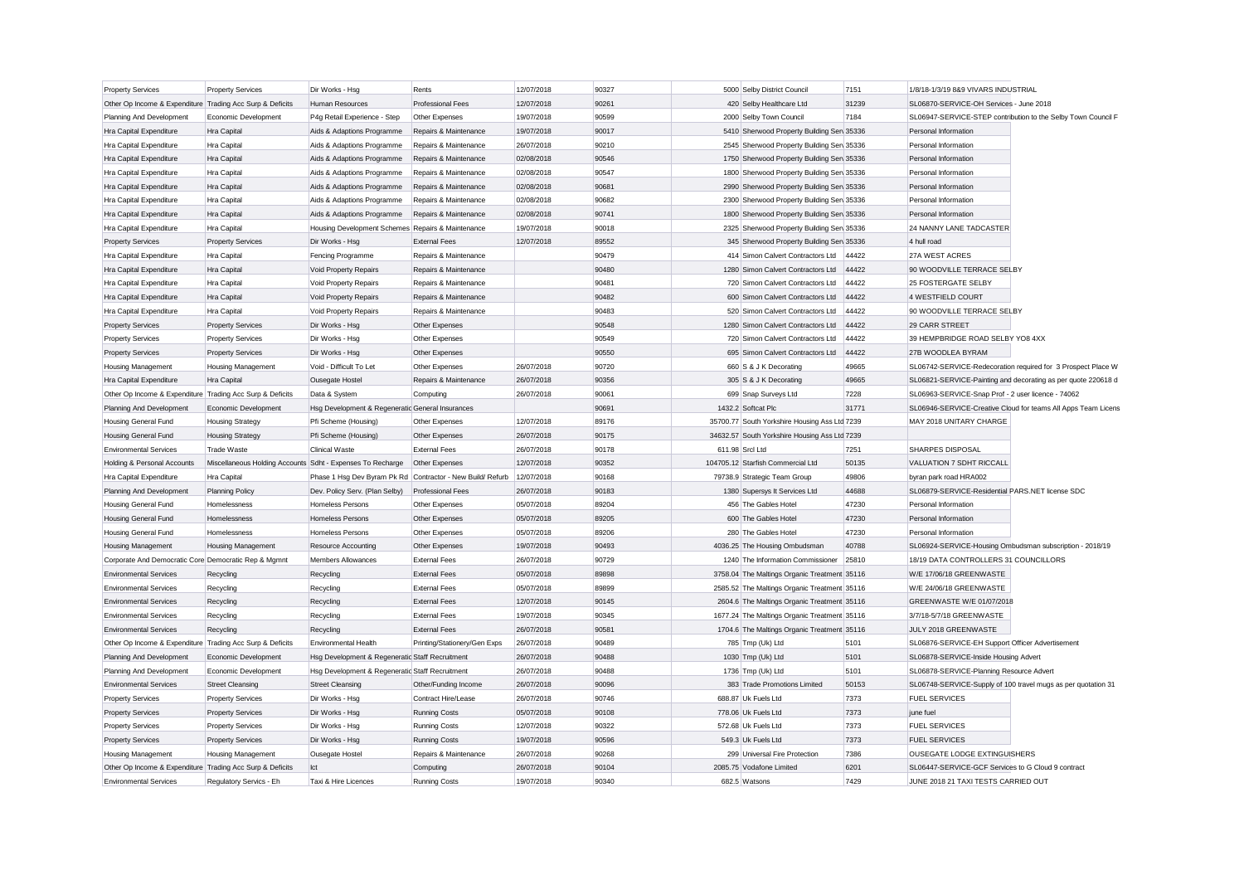| <b>Property Services</b>                                  | <b>Property Services</b>  | Dir Works - Hsg                                                             | Rents                        | 12/07/2018 | 90327 | 5000 Selby District Council                   | 7151  | 1/8/18-1/3/19 8&9 VIVARS INDUSTRIAL                           |                                                               |
|-----------------------------------------------------------|---------------------------|-----------------------------------------------------------------------------|------------------------------|------------|-------|-----------------------------------------------|-------|---------------------------------------------------------------|---------------------------------------------------------------|
| Other Op Income & Expenditure Trading Acc Surp & Deficits |                           | <b>Human Resources</b>                                                      | <b>Professional Fees</b>     | 12/07/2018 | 90261 | 420 Selby Healthcare Ltd                      | 31239 | SL06870-SERVICE-OH Services - June 2018                       |                                                               |
| Planning And Development                                  | Economic Development      | P4g Retail Experience - Step                                                | Other Expenses               | 19/07/2018 | 90599 | 2000 Selby Town Council                       | 7184  |                                                               | SL06947-SERVICE-STEP contribution to the Selby Town Council F |
| Hra Capital Expenditure                                   | Hra Capital               | Aids & Adaptions Programme                                                  | Repairs & Maintenance        | 19/07/2018 | 90017 | 5410 Sherwood Property Building Sen 35336     |       | Personal Information                                          |                                                               |
| Hra Capital Expenditure                                   | Hra Capital               | Aids & Adaptions Programme                                                  | Repairs & Maintenance        | 26/07/2018 | 90210 | 2545 Sherwood Property Building Sen 35336     |       | Personal Information                                          |                                                               |
| Hra Capital Expenditure                                   | Hra Capital               | Aids & Adaptions Programme                                                  | Repairs & Maintenance        | 02/08/2018 | 90546 | 1750 Sherwood Property Building Sen 35336     |       | Personal Information                                          |                                                               |
| Hra Capital Expenditure                                   | Hra Capital               | Aids & Adaptions Programme                                                  | Repairs & Maintenance        | 02/08/2018 | 90547 | 1800 Sherwood Property Building Sen 35336     |       | Personal Information                                          |                                                               |
| Hra Capital Expenditure                                   | Hra Capital               | Aids & Adaptions Programme                                                  | Repairs & Maintenance        | 02/08/2018 | 90681 | 2990 Sherwood Property Building Sen 35336     |       | Personal Information                                          |                                                               |
| Hra Capital Expenditure                                   | Hra Capital               | Aids & Adaptions Programme                                                  | Repairs & Maintenance        | 02/08/2018 | 90682 | 2300 Sherwood Property Building Sen 35336     |       | Personal Information                                          |                                                               |
| Hra Capital Expenditure                                   | Hra Capital               | Aids & Adaptions Programme                                                  | Repairs & Maintenance        | 02/08/2018 | 90741 | 1800 Sherwood Property Building Sen 35336     |       | Personal Information                                          |                                                               |
| Hra Capital Expenditure                                   | Hra Capital               | Housing Development Schemes Repairs & Maintenance                           |                              | 19/07/2018 | 90018 | 2325 Sherwood Property Building Sen 35336     |       | 24 NANNY LANE TADCASTER                                       |                                                               |
| <b>Property Services</b>                                  | <b>Property Services</b>  | Dir Works - Hsg                                                             | <b>External Fees</b>         | 12/07/2018 | 89552 | 345 Sherwood Property Building Sen 35336      |       | 4 hull road                                                   |                                                               |
| Hra Capital Expenditure                                   | Hra Capital               | Fencing Programme                                                           | Repairs & Maintenance        |            | 90479 | 414 Simon Calvert Contractors Ltd             | 44422 | 27A WEST ACRES                                                |                                                               |
| Hra Capital Expenditure                                   | Hra Capital               | Void Property Repairs                                                       | Repairs & Maintenance        |            | 90480 | 1280 Simon Calvert Contractors Ltd            | 44422 | 90 WOODVILLE TERRACE SELBY                                    |                                                               |
| Hra Capital Expenditure                                   | Hra Capital               | Void Property Repairs                                                       | Repairs & Maintenance        |            | 90481 | 720 Simon Calvert Contractors Ltd             | 44422 | 25 FOSTERGATE SELBY                                           |                                                               |
| Hra Capital Expenditure                                   | Hra Capital               | Void Property Repairs                                                       | Repairs & Maintenance        |            | 90482 | 600 Simon Calvert Contractors Ltd             | 44422 | 4 WESTFIELD COURT                                             |                                                               |
| Hra Capital Expenditure                                   | Hra Capital               | Void Property Repairs                                                       | Repairs & Maintenance        |            | 90483 | 520 Simon Calvert Contractors Ltd             | 44422 | 90 WOODVILLE TERRACE SELBY                                    |                                                               |
| <b>Property Services</b>                                  | <b>Property Services</b>  | Dir Works - Hsg                                                             | Other Expenses               |            | 90548 | 1280 Simon Calvert Contractors Ltd            | 44422 | 29 CARR STREET                                                |                                                               |
| <b>Property Services</b>                                  | <b>Property Services</b>  | Dir Works - Hsg                                                             | Other Expenses               |            | 90549 | 720 Simon Calvert Contractors Ltd             | 44422 | 39 HEMPBRIDGE ROAD SELBY YO8 4XX                              |                                                               |
| <b>Property Services</b>                                  | <b>Property Services</b>  | Dir Works - Hsg                                                             | Other Expenses               |            | 90550 | 695 Simon Calvert Contractors Ltd             | 44422 | 27B WOODLEA BYRAM                                             |                                                               |
| Housing Management                                        | <b>Housing Management</b> | Void - Difficult To Let                                                     | Other Expenses               | 26/07/2018 | 90720 | 660 S & J K Decorating                        | 49665 |                                                               | SL06742-SERVICE-Redecoration required for 3 Prospect Place W  |
| Hra Capital Expenditure                                   | Hra Capital               | Ousegate Hostel                                                             | Repairs & Maintenance        | 26/07/2018 | 90356 | 305 S & J K Decorating                        | 49665 |                                                               | SL06821-SERVICE-Painting and decorating as per quote 220618 d |
| Other Op Income & Expenditure Trading Acc Surp & Deficits |                           | Data & System                                                               | Computing                    | 26/07/2018 | 90061 | 699 Snap Surveys Ltd                          | 7228  | SL06963-SERVICE-Snap Prof - 2 user licence - 74062            |                                                               |
| Planning And Development                                  | Economic Development      | Hsg Development & Regeneratic General Insurances                            |                              |            | 90691 | 1432.2 Softcat Plc                            | 31771 |                                                               | SL06946-SERVICE-Creative Cloud for teams All Apps Team Licens |
| <b>Housing General Fund</b>                               | <b>Housing Strategy</b>   | Pfi Scheme (Housing)                                                        | Other Expenses               | 12/07/2018 | 89176 | 35700.77 South Yorkshire Housing Ass Ltd 7239 |       | MAY 2018 UNITARY CHARGE                                       |                                                               |
|                                                           |                           |                                                                             | Other Expenses               | 26/07/2018 | 90175 | 34632.57 South Yorkshire Housing Ass Ltd 7239 |       |                                                               |                                                               |
| <b>Housing General Fund</b>                               | <b>Housing Strategy</b>   | Pfi Scheme (Housing)                                                        |                              |            | 90178 |                                               |       | <b>SHARPES DISPOSAL</b>                                       |                                                               |
| <b>Environmental Services</b>                             | <b>Trade Waste</b>        | <b>Clinical Waste</b>                                                       | <b>External Fees</b>         | 26/07/2018 |       | 611.98 Srcl Ltd                               | 7251  |                                                               |                                                               |
| Holding & Personal Accounts                               |                           | Miscellaneous Holding Accounts Sdht - Expenses To Recharge   Other Expenses |                              | 12/07/2018 | 90352 | 104705.12 Starfish Commercial Ltd             | 50135 | VALUATION 7 SDHT RICCALL                                      |                                                               |
| Hra Capital Expenditure                                   | Hra Capital               | Phase 1 Hsg Dev Byram Pk Rd Contractor - New Build/Refurb                   |                              | 12/07/2018 | 90168 | 79738.9 Strategic Team Group                  | 49806 | byran park road HRA002                                        |                                                               |
| Planning And Development                                  | <b>Planning Policy</b>    | Dev. Policy Serv. (Plan Selby)                                              | <b>Professional Fees</b>     | 26/07/2018 | 90183 | 1380 Supersys It Services Ltd                 | 44688 | SL06879-SERVICE-Residential PARS.NET license SDC              |                                                               |
| <b>Housing General Fund</b>                               | Homelessness              | Homeless Persons                                                            | Other Expenses               | 05/07/2018 | 89204 | 456 The Gables Hotel                          | 47230 | Personal Information                                          |                                                               |
| Housing General Fund                                      | Homelessness              | Homeless Persons                                                            | Other Expenses               | 05/07/2018 | 89205 | 600 The Gables Hotel                          | 47230 | Personal Information                                          |                                                               |
| <b>Housing General Fund</b>                               | Homelessness              | <b>Homeless Persons</b>                                                     | Other Expenses               | 05/07/2018 | 89206 | 280 The Gables Hotel                          | 47230 | Personal Information                                          |                                                               |
| <b>Housing Management</b>                                 | <b>Housing Management</b> | <b>Resource Accounting</b>                                                  | Other Expenses               | 19/07/2018 | 90493 | 4036.25 The Housing Ombudsman                 | 40788 | SL06924-SERVICE-Housing Ombudsman subscription - 2018/19      |                                                               |
| Corporate And Democratic Core Democratic Rep & Mgmnt      |                           | Members Allowances                                                          | <b>External Fees</b>         | 26/07/2018 | 90729 | 1240 The Information Commissioner             | 25810 | 18/19 DATA CONTROLLERS 31 COUNCILLORS                         |                                                               |
| <b>Environmental Services</b>                             | Recycling                 | Recycling                                                                   | <b>External Fees</b>         | 05/07/2018 | 89898 | 3758.04 The Maltings Organic Treatment 35116  |       | W/E 17/06/18 GREENWASTE                                       |                                                               |
| <b>Environmental Services</b>                             | Recycling                 | Recycling                                                                   | <b>External Fees</b>         | 05/07/2018 | 89899 | 2585.52 The Maltings Organic Treatment 35116  |       | W/E 24/06/18 GREENWASTE                                       |                                                               |
| <b>Environmental Services</b>                             | Recycling                 | Recycling                                                                   | <b>External Fees</b>         | 12/07/2018 | 90145 | 2604.6 The Maltings Organic Treatment 35116   |       | GREENWASTE W/E 01/07/2018                                     |                                                               |
| <b>Environmental Services</b>                             | Recycling                 | Recycling                                                                   | <b>External Fees</b>         | 19/07/2018 | 90345 | 1677.24 The Maltings Organic Treatment 35116  |       | 3/7/18-5/7/18 GREENWASTE                                      |                                                               |
| <b>Environmental Services</b>                             | Recycling                 | Recycling                                                                   | <b>External Fees</b>         | 26/07/2018 | 90581 | 1704.6 The Maltings Organic Treatment 35116   |       | JULY 2018 GREENWASTE                                          |                                                               |
| Other Op Income & Expenditure Trading Acc Surp & Deficits |                           | <b>Environmental Health</b>                                                 | Printing/Stationery/Gen Exps | 26/07/2018 | 90489 | 785 Tmp (Uk) Ltd                              | 5101  | SL06876-SERVICE-EH Support Officer Advertisement              |                                                               |
| Planning And Development                                  | Economic Development      | Hsg Development & Regeneratic Staff Recruitment                             |                              | 26/07/2018 | 90488 | 1030 Tmp (Uk) Ltd                             | 5101  | SL06878-SERVICE-Inside Housing Advert                         |                                                               |
| Planning And Development                                  | Economic Development      | Hsg Development & Regeneratic Staff Recruitment                             |                              | 26/07/2018 | 90488 | 1736 Tmp (Uk) Ltd                             | 5101  | SL06878-SERVICE-Planning Resource Advert                      |                                                               |
| <b>Environmental Services</b>                             | <b>Street Cleansing</b>   | <b>Street Cleansing</b>                                                     | Other/Funding Income         | 26/07/2018 | 90096 | 383 Trade Promotions Limited                  | 50153 | SL06748-SERVICE-Supply of 100 travel mugs as per quotation 31 |                                                               |
| <b>Property Services</b>                                  | <b>Property Services</b>  | Dir Works - Hsg                                                             | Contract Hire/Lease          | 26/07/2018 | 90746 | 688.87 Uk Fuels Ltd                           | 7373  | <b>FUEL SERVICES</b>                                          |                                                               |
| <b>Property Services</b>                                  | <b>Property Services</b>  | Dir Works - Hsg                                                             | <b>Running Costs</b>         | 05/07/2018 | 90108 | 778.06 Uk Fuels Ltd                           | 7373  | june fuel                                                     |                                                               |
| <b>Property Services</b>                                  | <b>Property Services</b>  | Dir Works - Hsg                                                             | Running Costs                | 12/07/2018 | 90322 | 572.68 Uk Fuels Ltd                           | 7373  | <b>FUEL SERVICES</b>                                          |                                                               |
| <b>Property Services</b>                                  | <b>Property Services</b>  | Dir Works - Hsg                                                             | <b>Running Costs</b>         | 19/07/2018 | 90596 | 549.3 Uk Fuels Ltd                            | 7373  | <b>FUEL SERVICES</b>                                          |                                                               |
| <b>Housing Management</b>                                 | <b>Housing Management</b> | Ousegate Hostel                                                             | Repairs & Maintenance        | 26/07/2018 | 90268 | 299 Universal Fire Protection                 | 7386  | OUSEGATE LODGE EXTINGUISHERS                                  |                                                               |
| Other Op Income & Expenditure Trading Acc Surp & Deficits |                           | Ict                                                                         | Computing                    | 26/07/2018 | 90104 | 2085.75 Vodafone Limited                      | 6201  | SL06447-SERVICE-GCF Services to G Cloud 9 contract            |                                                               |
| <b>Environmental Services</b>                             | Regulatory Servics - Eh   | Taxi & Hire Licences                                                        | Running Costs                | 19/07/2018 | 90340 | 682.5 Watsons                                 | 7429  | JUNE 2018 21 TAXI TESTS CARRIED OUT                           |                                                               |